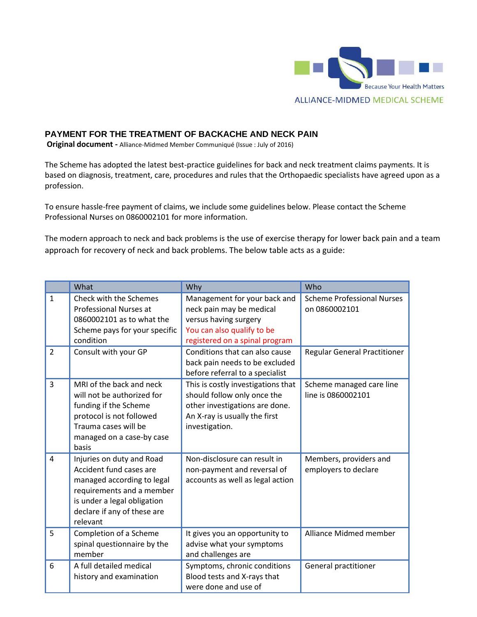

## **PAYMENT FOR THE TREATMENT OF BACKACHE AND NECK PAIN**

**Original document -** Alliance-Midmed Member Communiqué (Issue : July of 2016)

The Scheme has adopted the latest best-practice guidelines for back and neck treatment claims payments. It is based on diagnosis, treatment, care, procedures and rules that the Orthopaedic specialists have agreed upon as a profession.

To ensure hassle-free payment of claims, we include some guidelines below. Please contact the Scheme Professional Nurses on 0860002101 for more information.

The modern approach to neck and back problems is the use of exercise therapy for lower back pain and a team approach for recovery of neck and back problems. The below table acts as a guide:

|                | What                                                                                                                                                                                      | Why                                                                                                                                                    | Who                                                |
|----------------|-------------------------------------------------------------------------------------------------------------------------------------------------------------------------------------------|--------------------------------------------------------------------------------------------------------------------------------------------------------|----------------------------------------------------|
| $\mathbf{1}$   | Check with the Schemes<br><b>Professional Nurses at</b><br>0860002101 as to what the<br>Scheme pays for your specific<br>condition                                                        | Management for your back and<br>neck pain may be medical<br>versus having surgery<br>You can also qualify to be<br>registered on a spinal program      | <b>Scheme Professional Nurses</b><br>on 0860002101 |
| $\overline{2}$ | Consult with your GP                                                                                                                                                                      | Conditions that can also cause<br>back pain needs to be excluded<br>before referral to a specialist                                                    | <b>Regular General Practitioner</b>                |
| $\overline{3}$ | MRI of the back and neck<br>will not be authorized for<br>funding if the Scheme<br>protocol is not followed<br>Trauma cases will be<br>managed on a case-by case<br>basis                 | This is costly investigations that<br>should follow only once the<br>other investigations are done.<br>An X-ray is usually the first<br>investigation. | Scheme managed care line<br>line is 0860002101     |
| 4              | Injuries on duty and Road<br>Accident fund cases are<br>managed according to legal<br>requirements and a member<br>is under a legal obligation<br>declare if any of these are<br>relevant | Non-disclosure can result in<br>non-payment and reversal of<br>accounts as well as legal action                                                        | Members, providers and<br>employers to declare     |
| 5              | Completion of a Scheme<br>spinal questionnaire by the<br>member                                                                                                                           | It gives you an opportunity to<br>advise what your symptoms<br>and challenges are                                                                      | Alliance Midmed member                             |
| 6              | A full detailed medical<br>history and examination                                                                                                                                        | Symptoms, chronic conditions<br>Blood tests and X-rays that<br>were done and use of                                                                    | General practitioner                               |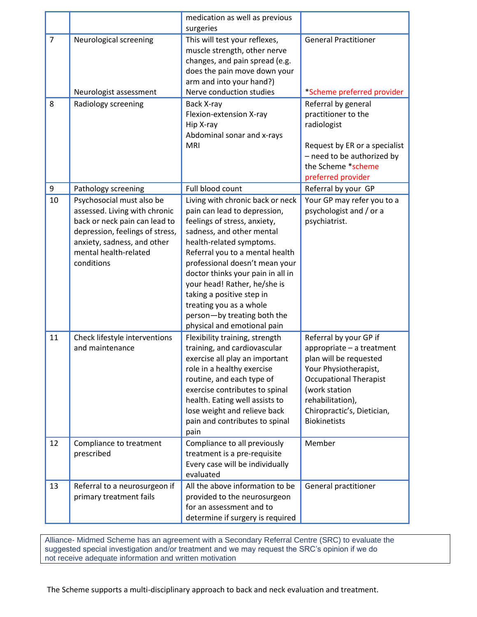|                     |                                                                                                                                                                                                      | medication as well as previous                                                                                                                                                                                                                                                                                                                                                                                            |                                                                                                                                                                                                                                   |
|---------------------|------------------------------------------------------------------------------------------------------------------------------------------------------------------------------------------------------|---------------------------------------------------------------------------------------------------------------------------------------------------------------------------------------------------------------------------------------------------------------------------------------------------------------------------------------------------------------------------------------------------------------------------|-----------------------------------------------------------------------------------------------------------------------------------------------------------------------------------------------------------------------------------|
| $\overline{7}$<br>8 | Neurological screening<br>Neurologist assessment<br>Radiology screening                                                                                                                              | surgeries<br>This will test your reflexes,<br>muscle strength, other nerve<br>changes, and pain spread (e.g.<br>does the pain move down your<br>arm and into your hand?)<br>Nerve conduction studies<br>Back X-ray<br>Flexion-extension X-ray<br>Hip X-ray<br>Abdominal sonar and x-rays<br><b>MRI</b>                                                                                                                    | <b>General Practitioner</b><br>*Scheme preferred provider<br>Referral by general<br>practitioner to the<br>radiologist<br>Request by ER or a specialist                                                                           |
|                     |                                                                                                                                                                                                      |                                                                                                                                                                                                                                                                                                                                                                                                                           | - need to be authorized by<br>the Scheme *scheme<br>preferred provider                                                                                                                                                            |
| 9                   | Pathology screening                                                                                                                                                                                  | Full blood count                                                                                                                                                                                                                                                                                                                                                                                                          | Referral by your GP                                                                                                                                                                                                               |
| 10                  | Psychosocial must also be<br>assessed. Living with chronic<br>back or neck pain can lead to<br>depression, feelings of stress,<br>anxiety, sadness, and other<br>mental health-related<br>conditions | Living with chronic back or neck<br>pain can lead to depression,<br>feelings of stress, anxiety,<br>sadness, and other mental<br>health-related symptoms.<br>Referral you to a mental health<br>professional doesn't mean your<br>doctor thinks your pain in all in<br>your head! Rather, he/she is<br>taking a positive step in<br>treating you as a whole<br>person-by treating both the<br>physical and emotional pain | Your GP may refer you to a<br>psychologist and / or a<br>psychiatrist.                                                                                                                                                            |
| 11                  | Check lifestyle interventions<br>and maintenance                                                                                                                                                     | Flexibility training, strength<br>training, and cardiovascular<br>exercise all play an important<br>role in a healthy exercise<br>routine, and each type of<br>exercise contributes to spinal<br>health. Eating well assists to<br>lose weight and relieve back<br>pain and contributes to spinal<br>pain                                                                                                                 | Referral by your GP if<br>appropriate - a treatment<br>plan will be requested<br>Your Physiotherapist,<br><b>Occupational Therapist</b><br>(work station<br>rehabilitation),<br>Chiropractic's, Dietician,<br><b>Biokinetists</b> |
| 12                  | Compliance to treatment<br>prescribed                                                                                                                                                                | Compliance to all previously<br>treatment is a pre-requisite<br>Every case will be individually<br>evaluated                                                                                                                                                                                                                                                                                                              | Member                                                                                                                                                                                                                            |
| 13                  | Referral to a neurosurgeon if<br>primary treatment fails                                                                                                                                             | All the above information to be<br>provided to the neurosurgeon<br>for an assessment and to<br>determine if surgery is required                                                                                                                                                                                                                                                                                           | General practitioner                                                                                                                                                                                                              |

Alliance- Midmed Scheme has an agreement with a Secondary Referral Centre (SRC) to evaluate the suggested special investigation and/or treatment and we may request the SRC's opinion if we do not receive adequate information and written motivation